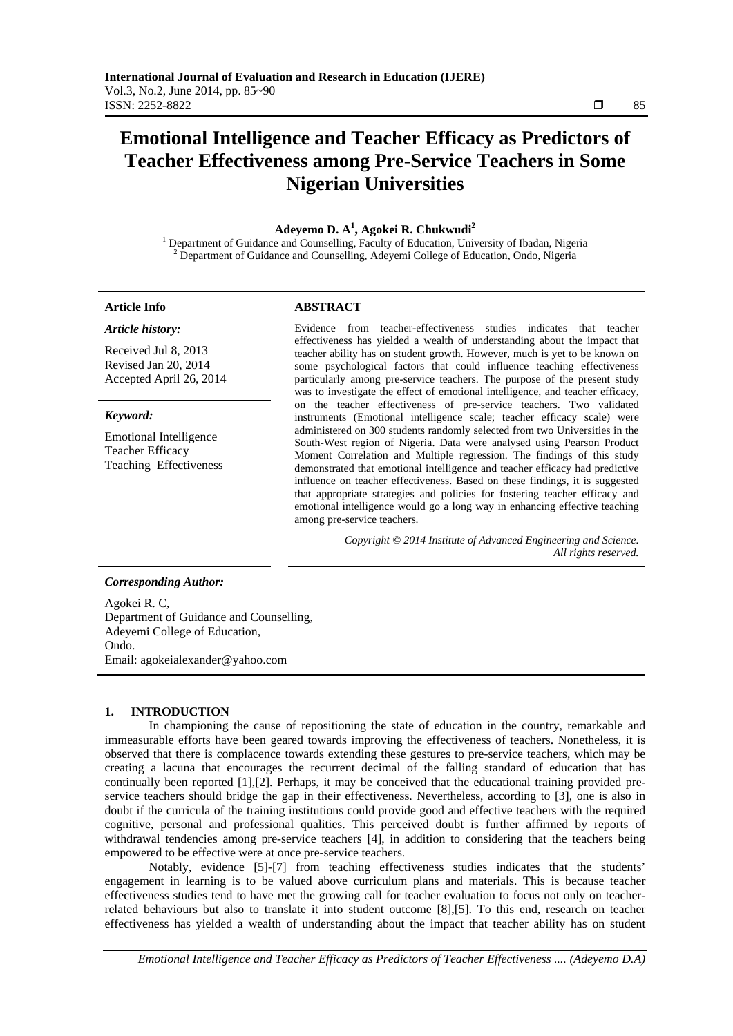# **Emotional Intelligence and Teacher Efficacy as Predictors of Teacher Effectiveness among Pre-Service Teachers in Some Nigerian Universities**

# **Adeyemo D. A<sup>1</sup> , Agokei R. Chukwudi2**

<sup>1</sup> Department of Guidance and Counselling, Faculty of Education, University of Ibadan, Nigeria <sup>2</sup> Department of Guidance and Counselling, Adavami Gallage of Education, Onde Nigeria Department of Guidance and Counselling, Adeyemi College of Education, Ondo, Nigeria

*Article history:* 

# **Article Info ABSTRACT**

Received Jul 8, 2013 Revised Jan 20, 2014 Accepted April 26, 2014

### *Keyword:*

Emotional Intelligence Teacher Efficacy Teaching Effectiveness Evidence from teacher-effectiveness studies indicates that teacher effectiveness has yielded a wealth of understanding about the impact that teacher ability has on student growth. However, much is yet to be known on some psychological factors that could influence teaching effectiveness particularly among pre-service teachers. The purpose of the present study was to investigate the effect of emotional intelligence, and teacher efficacy, on the teacher effectiveness of pre-service teachers. Two validated instruments (Emotional intelligence scale; teacher efficacy scale) were administered on 300 students randomly selected from two Universities in the South-West region of Nigeria. Data were analysed using Pearson Product Moment Correlation and Multiple regression. The findings of this study demonstrated that emotional intelligence and teacher efficacy had predictive influence on teacher effectiveness. Based on these findings, it is suggested that appropriate strategies and policies for fostering teacher efficacy and emotional intelligence would go a long way in enhancing effective teaching among pre-service teachers.

> *Copyright © 2014 Institute of Advanced Engineering and Science. All rights reserved.*

#### *Corresponding Author:*

Agokei R. C, Department of Guidance and Counselling, Adeyemi College of Education, Ondo. Email: agokeialexander@yahoo.com

# **1. INTRODUCTION**

In championing the cause of repositioning the state of education in the country, remarkable and immeasurable efforts have been geared towards improving the effectiveness of teachers. Nonetheless, it is observed that there is complacence towards extending these gestures to pre-service teachers, which may be creating a lacuna that encourages the recurrent decimal of the falling standard of education that has continually been reported [1],[2]. Perhaps, it may be conceived that the educational training provided preservice teachers should bridge the gap in their effectiveness. Nevertheless, according to [3], one is also in doubt if the curricula of the training institutions could provide good and effective teachers with the required cognitive, personal and professional qualities. This perceived doubt is further affirmed by reports of withdrawal tendencies among pre-service teachers [4], in addition to considering that the teachers being empowered to be effective were at once pre-service teachers.

Notably, evidence [5]-[7] from teaching effectiveness studies indicates that the students' engagement in learning is to be valued above curriculum plans and materials. This is because teacher effectiveness studies tend to have met the growing call for teacher evaluation to focus not only on teacherrelated behaviours but also to translate it into student outcome [8],[5]. To this end, research on teacher effectiveness has yielded a wealth of understanding about the impact that teacher ability has on student

*Emotional Intelligence and Teacher Efficacy as Predictors of Teacher Effectiveness .... (Adeyemo D.A)* 

ֺֺ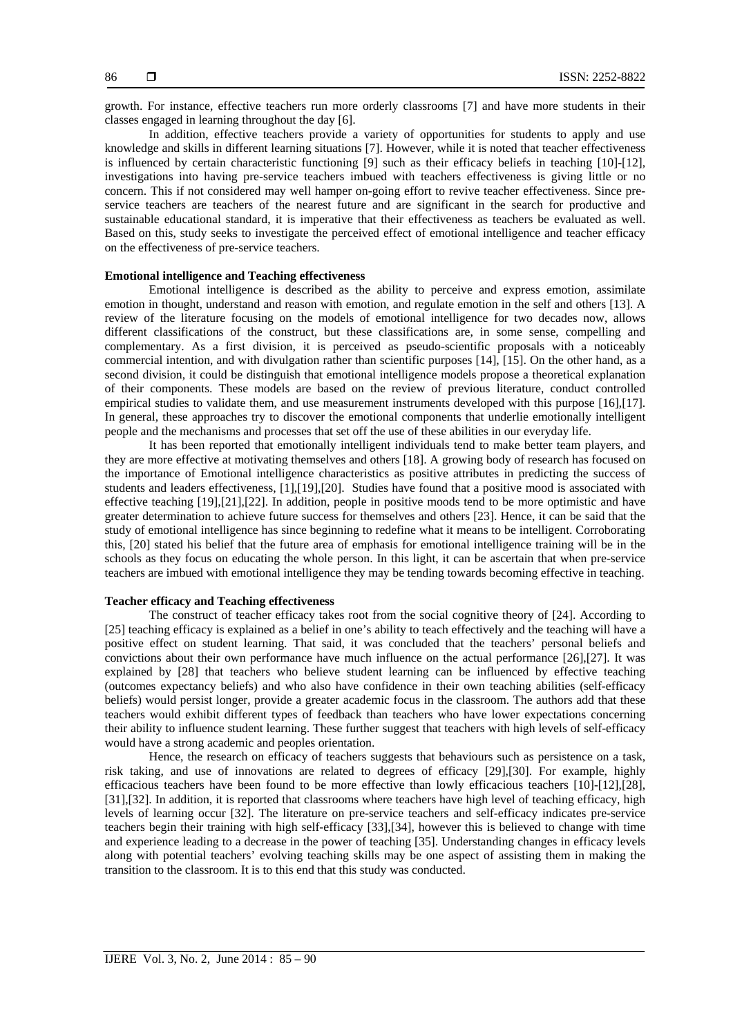growth. For instance, effective teachers run more orderly classrooms [7] and have more students in their classes engaged in learning throughout the day [6].

In addition, effective teachers provide a variety of opportunities for students to apply and use knowledge and skills in different learning situations [7]. However, while it is noted that teacher effectiveness is influenced by certain characteristic functioning [9] such as their efficacy beliefs in teaching [10]-[12], investigations into having pre-service teachers imbued with teachers effectiveness is giving little or no concern. This if not considered may well hamper on-going effort to revive teacher effectiveness. Since preservice teachers are teachers of the nearest future and are significant in the search for productive and sustainable educational standard, it is imperative that their effectiveness as teachers be evaluated as well. Based on this, study seeks to investigate the perceived effect of emotional intelligence and teacher efficacy on the effectiveness of pre-service teachers.

#### **Emotional intelligence and Teaching effectiveness**

Emotional intelligence is described as the ability to perceive and express emotion, assimilate emotion in thought, understand and reason with emotion, and regulate emotion in the self and others [13]. A review of the literature focusing on the models of emotional intelligence for two decades now, allows different classifications of the construct, but these classifications are, in some sense, compelling and complementary. As a first division, it is perceived as pseudo-scientific proposals with a noticeably commercial intention, and with divulgation rather than scientific purposes [14], [15]. On the other hand, as a second division, it could be distinguish that emotional intelligence models propose a theoretical explanation of their components. These models are based on the review of previous literature, conduct controlled empirical studies to validate them, and use measurement instruments developed with this purpose [16],[17]. In general, these approaches try to discover the emotional components that underlie emotionally intelligent people and the mechanisms and processes that set off the use of these abilities in our everyday life.

It has been reported that emotionally intelligent individuals tend to make better team players, and they are more effective at motivating themselves and others [18]. A growing body of research has focused on the importance of Emotional intelligence characteristics as positive attributes in predicting the success of students and leaders effectiveness, [1],[19],[20]. Studies have found that a positive mood is associated with effective teaching [19],[21],[22]. In addition, people in positive moods tend to be more optimistic and have greater determination to achieve future success for themselves and others [23]. Hence, it can be said that the study of emotional intelligence has since beginning to redefine what it means to be intelligent. Corroborating this, [20] stated his belief that the future area of emphasis for emotional intelligence training will be in the schools as they focus on educating the whole person. In this light, it can be ascertain that when pre-service teachers are imbued with emotional intelligence they may be tending towards becoming effective in teaching.

# **Teacher efficacy and Teaching effectiveness**

The construct of teacher efficacy takes root from the social cognitive theory of [24]. According to [25] teaching efficacy is explained as a belief in one's ability to teach effectively and the teaching will have a positive effect on student learning. That said, it was concluded that the teachers' personal beliefs and convictions about their own performance have much influence on the actual performance [26],[27]. It was explained by [28] that teachers who believe student learning can be influenced by effective teaching (outcomes expectancy beliefs) and who also have confidence in their own teaching abilities (self-efficacy beliefs) would persist longer, provide a greater academic focus in the classroom. The authors add that these teachers would exhibit different types of feedback than teachers who have lower expectations concerning their ability to influence student learning. These further suggest that teachers with high levels of self-efficacy would have a strong academic and peoples orientation.

Hence, the research on efficacy of teachers suggests that behaviours such as persistence on a task, risk taking, and use of innovations are related to degrees of efficacy [29],[30]. For example, highly efficacious teachers have been found to be more effective than lowly efficacious teachers [10]-[12],[28], [31],[32]. In addition, it is reported that classrooms where teachers have high level of teaching efficacy, high levels of learning occur [32]. The literature on pre-service teachers and self-efficacy indicates pre-service teachers begin their training with high self-efficacy [33],[34], however this is believed to change with time and experience leading to a decrease in the power of teaching [35]. Understanding changes in efficacy levels along with potential teachers' evolving teaching skills may be one aspect of assisting them in making the transition to the classroom. It is to this end that this study was conducted.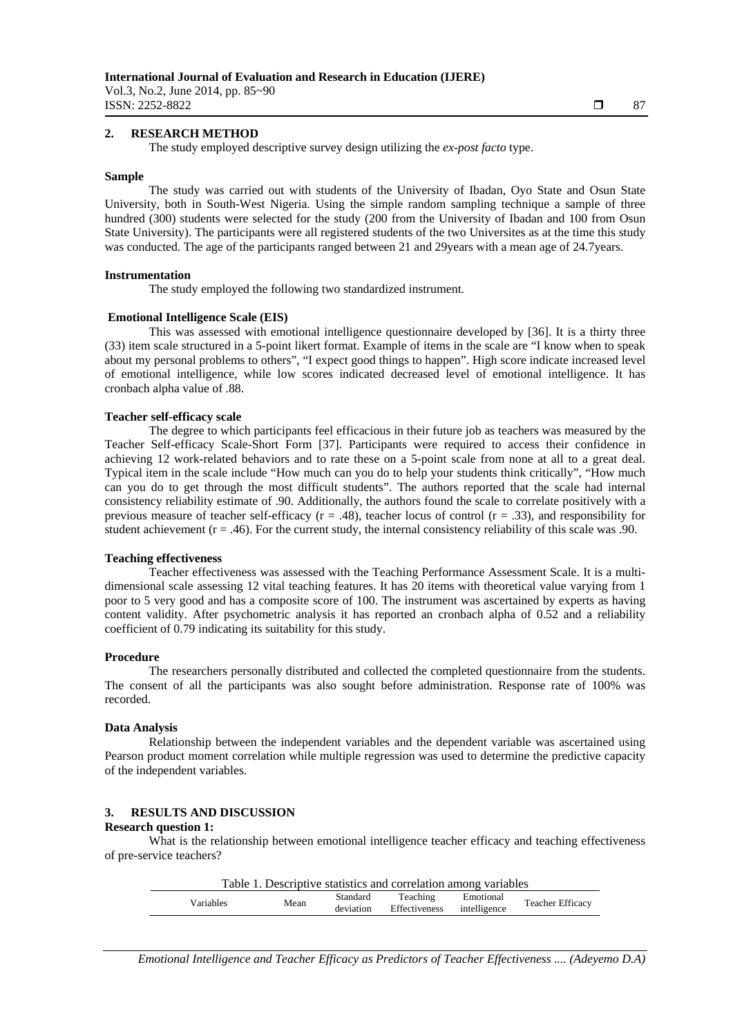Vol.3, No.2, June 2014, pp. 85~90 **ISSN:** 2252-8822  $\Box$  87

ֺֺ

# **2. RESEARCH METHOD**

The study employed descriptive survey design utilizing the *ex-post facto* type.

#### **Sample**

The study was carried out with students of the University of Ibadan, Oyo State and Osun State University, both in South-West Nigeria. Using the simple random sampling technique a sample of three hundred (300) students were selected for the study (200 from the University of Ibadan and 100 from Osun State University). The participants were all registered students of the two Universites as at the time this study was conducted. The age of the participants ranged between 21 and 29years with a mean age of 24.7years.

### **Instrumentation**

The study employed the following two standardized instrument.

# **Emotional Intelligence Scale (EIS)**

This was assessed with emotional intelligence questionnaire developed by [36]. It is a thirty three (33) item scale structured in a 5-point likert format. Example of items in the scale are "I know when to speak about my personal problems to others", "I expect good things to happen". High score indicate increased level of emotional intelligence, while low scores indicated decreased level of emotional intelligence. It has cronbach alpha value of .88.

### **Teacher self-efficacy scale**

The degree to which participants feel efficacious in their future job as teachers was measured by the Teacher Self-efficacy Scale-Short Form [37]. Participants were required to access their confidence in achieving 12 work-related behaviors and to rate these on a 5-point scale from none at all to a great deal. Typical item in the scale include "How much can you do to help your students think critically", "How much can you do to get through the most difficult students". The authors reported that the scale had internal consistency reliability estimate of .90. Additionally, the authors found the scale to correlate positively with a previous measure of teacher self-efficacy ( $r = .48$ ), teacher locus of control ( $r = .33$ ), and responsibility for student achievement ( $r = .46$ ). For the current study, the internal consistency reliability of this scale was .90.

# **Teaching effectiveness**

Teacher effectiveness was assessed with the Teaching Performance Assessment Scale. It is a multidimensional scale assessing 12 vital teaching features. It has 20 items with theoretical value varying from 1 poor to 5 very good and has a composite score of 100. The instrument was ascertained by experts as having content validity. After psychometric analysis it has reported an cronbach alpha of 0.52 and a reliability coefficient of 0.79 indicating its suitability for this study.

#### **Procedure**

The researchers personally distributed and collected the completed questionnaire from the students. The consent of all the participants was also sought before administration. Response rate of 100% was recorded.

#### **Data Analysis**

Relationship between the independent variables and the dependent variable was ascertained using Pearson product moment correlation while multiple regression was used to determine the predictive capacity of the independent variables.

# **3. RESULTS AND DISCUSSION**

# **Research question 1:**

What is the relationship between emotional intelligence teacher efficacy and teaching effectiveness of pre-service teachers?

| Table 1. Descriptive statistics and correlation among variables |      |                       |                           |                           |                         |  |
|-----------------------------------------------------------------|------|-----------------------|---------------------------|---------------------------|-------------------------|--|
| Variables                                                       | Mean | Standard<br>deviation | Teaching<br>Effectiveness | Emotional<br>intelligence | <b>Teacher Efficacy</b> |  |
|                                                                 |      |                       |                           |                           |                         |  |

*Emotional Intelligence and Teacher Efficacy as Predictors of Teacher Effectiveness .... (Adeyemo D.A)*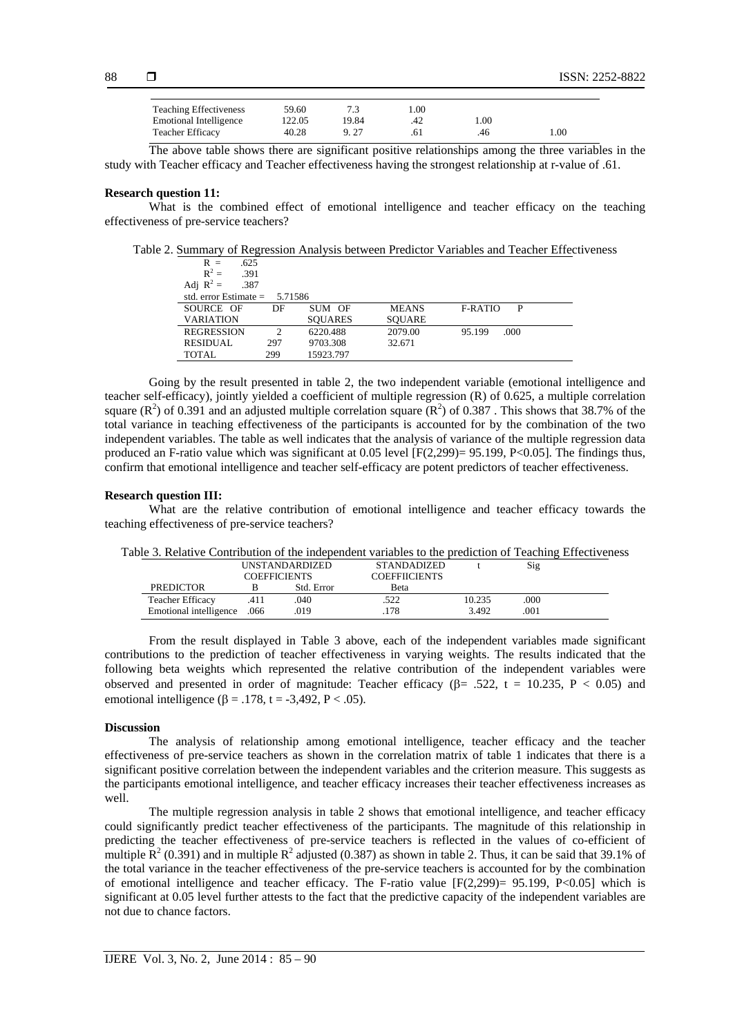| <b>Teaching Effectiveness</b> | 59.60  |       | l.00 |     |      |
|-------------------------------|--------|-------|------|-----|------|
| <b>Emotional Intelligence</b> | '22.05 | 19.84 | 42   | .00 |      |
| <b>Teacher Efficacy</b>       | 40.28  |       |      | 46  | l.00 |

The above table shows there are significant positive relationships among the three variables in the study with Teacher efficacy and Teacher effectiveness having the strongest relationship at r-value of .61.

#### **Research question 11:**

What is the combined effect of emotional intelligence and teacher efficacy on the teaching effectiveness of pre-service teachers?

Table 2. Summary of Regression Analysis between Predictor Variables and Teacher Effectiveness

| .625<br>$R =$           |               |                |               |                     |  |
|-------------------------|---------------|----------------|---------------|---------------------|--|
| $R^2 =$<br>.391         |               |                |               |                     |  |
| Adj $R^2$ =<br>.387     |               |                |               |                     |  |
| std. error Estimate $=$ | 5.71586       |                |               |                     |  |
| SOURCE OF               | DF            | SUM OF         | <b>MEANS</b>  | <b>F-RATIO</b><br>P |  |
| <b>VARIATION</b>        |               | <b>SOUARES</b> | <b>SOUARE</b> |                     |  |
| <b>REGRESSION</b>       | $\mathcal{P}$ | 6220.488       | 2079.00       | .000<br>95.199      |  |
| <b>RESIDUAL</b>         | 297           | 9703.308       | 32.671        |                     |  |
| TOTAL                   | 299           | 15923.797      |               |                     |  |

Going by the result presented in table 2, the two independent variable (emotional intelligence and teacher self-efficacy), jointly yielded a coefficient of multiple regression (R) of 0.625, a multiple correlation square  $(R^2)$  of 0.391 and an adjusted multiple correlation square  $(R^2)$  of 0.387. This shows that 38.7% of the total variance in teaching effectiveness of the participants is accounted for by the combination of the two independent variables. The table as well indicates that the analysis of variance of the multiple regression data produced an F-ratio value which was significant at 0.05 level  $[Fe(2.299) = 95.199, Pe<0.05]$ . The findings thus, confirm that emotional intelligence and teacher self-efficacy are potent predictors of teacher effectiveness.

#### **Research question III:**

What are the relative contribution of emotional intelligence and teacher efficacy towards the teaching effectiveness of pre-service teachers?

| able 5. Kenative Contribution of the independent variables to the prediction of Teaching Effectivene |                       |            |                      |                    |        |     |  |
|------------------------------------------------------------------------------------------------------|-----------------------|------------|----------------------|--------------------|--------|-----|--|
|                                                                                                      | <b>UNSTANDARDIZED</b> |            |                      | <b>STANDADIZED</b> |        | Sig |  |
| <b>COEFFICIENTS</b>                                                                                  |                       |            | <b>COEFFIICIENTS</b> |                    |        |     |  |
| <b>PREDICTOR</b>                                                                                     |                       | Std. Error |                      | <b>Beta</b>        |        |     |  |
| <b>Teacher Efficacy</b>                                                                              |                       | .040       |                      | .522               | 10.235 | 000 |  |
| Emotional intelligence                                                                               | .066                  | .019       |                      | 178                | 3.492  | 001 |  |
|                                                                                                      |                       |            |                      |                    |        |     |  |

Table 3. Relative Contribution of the independent variables to the prediction of Teaching Effectiveness

From the result displayed in Table 3 above, each of the independent variables made significant contributions to the prediction of teacher effectiveness in varying weights. The results indicated that the following beta weights which represented the relative contribution of the independent variables were observed and presented in order of magnitude: Teacher efficacy ( $\beta$  = .522, t = 10.235, P < 0.05) and emotional intelligence ( $\beta = .178$ , t = -3,492, P < .05).

#### **Discussion**

The analysis of relationship among emotional intelligence, teacher efficacy and the teacher effectiveness of pre-service teachers as shown in the correlation matrix of table 1 indicates that there is a significant positive correlation between the independent variables and the criterion measure. This suggests as the participants emotional intelligence, and teacher efficacy increases their teacher effectiveness increases as well.

The multiple regression analysis in table 2 shows that emotional intelligence, and teacher efficacy could significantly predict teacher effectiveness of the participants. The magnitude of this relationship in predicting the teacher effectiveness of pre-service teachers is reflected in the values of co-efficient of multiple  $\mathbb{R}^2$  (0.391) and in multiple  $\mathbb{R}^2$  adjusted (0.387) as shown in table 2. Thus, it can be said that 39.1% of the total variance in the teacher effectiveness of the pre-service teachers is accounted for by the combination of emotional intelligence and teacher efficacy. The F-ratio value  $[F(2,299) = 95.199, P<0.05]$  which is significant at 0.05 level further attests to the fact that the predictive capacity of the independent variables are not due to chance factors.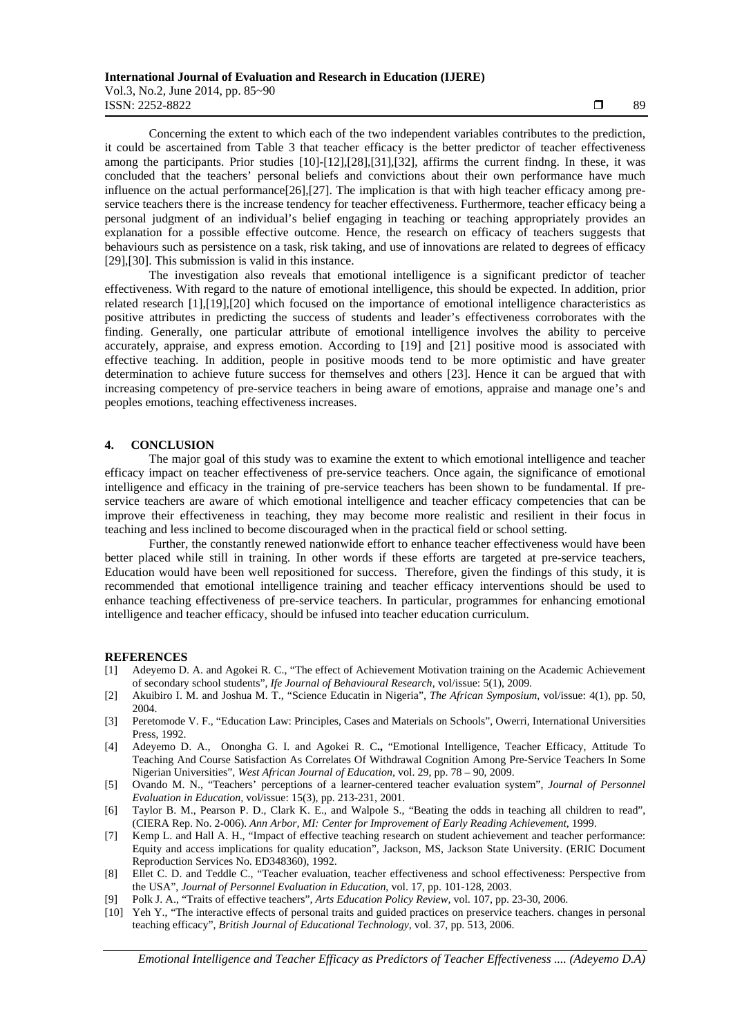Vol.3, No.2, June 2014, pp. 85~90 **ISSN:** 2252-8822 **1989** 

ֺֺ

Concerning the extent to which each of the two independent variables contributes to the prediction, it could be ascertained from Table 3 that teacher efficacy is the better predictor of teacher effectiveness among the participants. Prior studies [10]-[12],[28],[31],[32], affirms the current findng. In these, it was concluded that the teachers' personal beliefs and convictions about their own performance have much influence on the actual performance[26],[27]. The implication is that with high teacher efficacy among preservice teachers there is the increase tendency for teacher effectiveness. Furthermore, teacher efficacy being a personal judgment of an individual's belief engaging in teaching or teaching appropriately provides an explanation for a possible effective outcome. Hence, the research on efficacy of teachers suggests that behaviours such as persistence on a task, risk taking, and use of innovations are related to degrees of efficacy [29],[30]. This submission is valid in this instance.

The investigation also reveals that emotional intelligence is a significant predictor of teacher effectiveness. With regard to the nature of emotional intelligence, this should be expected. In addition, prior related research [1],[19],[20] which focused on the importance of emotional intelligence characteristics as positive attributes in predicting the success of students and leader's effectiveness corroborates with the finding. Generally, one particular attribute of emotional intelligence involves the ability to perceive accurately, appraise, and express emotion. According to [19] and [21] positive mood is associated with effective teaching. In addition, people in positive moods tend to be more optimistic and have greater determination to achieve future success for themselves and others [23]. Hence it can be argued that with increasing competency of pre-service teachers in being aware of emotions, appraise and manage one's and peoples emotions, teaching effectiveness increases.

#### **4. CONCLUSION**

The major goal of this study was to examine the extent to which emotional intelligence and teacher efficacy impact on teacher effectiveness of pre-service teachers. Once again, the significance of emotional intelligence and efficacy in the training of pre-service teachers has been shown to be fundamental. If preservice teachers are aware of which emotional intelligence and teacher efficacy competencies that can be improve their effectiveness in teaching, they may become more realistic and resilient in their focus in teaching and less inclined to become discouraged when in the practical field or school setting.

Further, the constantly renewed nationwide effort to enhance teacher effectiveness would have been better placed while still in training. In other words if these efforts are targeted at pre-service teachers, Education would have been well repositioned for success. Therefore, given the findings of this study, it is recommended that emotional intelligence training and teacher efficacy interventions should be used to enhance teaching effectiveness of pre-service teachers. In particular, programmes for enhancing emotional intelligence and teacher efficacy, should be infused into teacher education curriculum.

# **REFERENCES**

- [1] Adeyemo D. A. and Agokei R. C., "The effect of Achievement Motivation training on the Academic Achievement of secondary school students", *Ife Journal of Behavioural Research*, vol/issue: 5(1), 2009.
- [2] Akuibiro I. M. and Joshua M. T., "Science Educatin in Nigeria", *The African Symposium,* vol/issue: 4(1), pp. 50, 2004.
- [3] Peretomode V. F., "Education Law: Principles, Cases and Materials on Schools", Owerri, International Universities Press, 1992.
- [4] Adeyemo D. A., Onongha G. I. and Agokei R. C**.,** "Emotional Intelligence, Teacher Efficacy, Attitude To Teaching And Course Satisfaction As Correlates Of Withdrawal Cognition Among Pre-Service Teachers In Some Nigerian Universities", *West African Journal of Education,* vol. 29, pp. 78 – 90, 2009.
- [5] Ovando M. N., "Teachers' perceptions of a learner-centered teacher evaluation system", *Journal of Personnel Evaluation in Education,* vol/issue: 15(3), pp. 213-231, 2001.
- [6] Taylor B. M., Pearson P. D., Clark K. E., and Walpole S., "Beating the odds in teaching all children to read", (CIERA Rep. No. 2-006). *Ann Arbor, MI: Center for Improvement of Early Reading Achievement*, 1999.
- [7] Kemp L. and Hall A. H., "Impact of effective teaching research on student achievement and teacher performance: Equity and access implications for quality education", Jackson, MS, Jackson State University. (ERIC Document Reproduction Services No. ED348360), 1992.
- [8] Ellet C. D. and Teddle C., "Teacher evaluation, teacher effectiveness and school effectiveness: Perspective from the USA", *Journal of Personnel Evaluation in Education*, vol. 17, pp. 101-128, 2003.
- [9] Polk J. A., "Traits of effective teachers", *Arts Education Policy Review,* vol. 107, pp. 23-30*,* 2006.
- [10] Yeh Y., "The interactive effects of personal traits and guided practices on preservice teachers. changes in personal teaching efficacy", *British Journal of Educational Technology,* vol. 37, pp. 513*,* 2006.